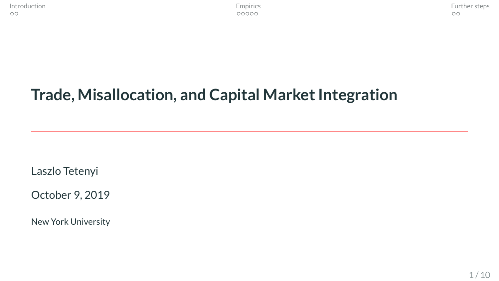# <span id="page-0-0"></span>**Trade, Misallocation, and Capital Market Integration**

Laszlo Tetenyi

October 9, 2019

New York University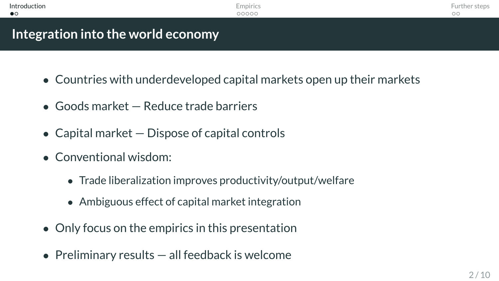<span id="page-1-0"></span>

| Introduction                       | Empirics | Further steps |
|------------------------------------|----------|---------------|
| $\bullet$                          | 00000    | ОC            |
|                                    |          |               |
| Integration into the world economy |          |               |

- Countries with underdeveloped capital markets open up their markets
- Goods market Reduce trade barriers
- Capital market Dispose of capital controls
- Conventional wisdom:
	- Trade liberalization improves productivity/output/welfare
	- Ambiguous effect of capital market integration
- Only focus on the empirics in this presentation
- Preliminary results  $-$  all feedback is welcome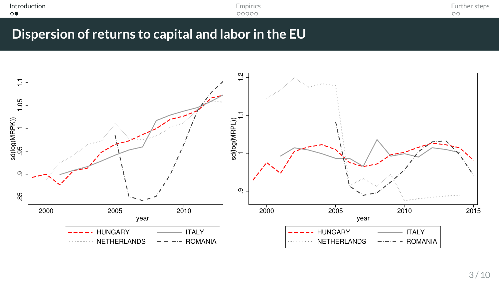| Introduction<br>. | Empirics | $-$<br>Further |
|-------------------|----------|----------------|
| $\circ$           | 00000    | ОC             |
|                   |          |                |

**Dispersion of returns to capital and labor in the EU**

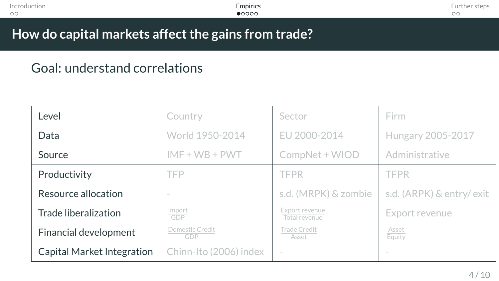<span id="page-3-0"></span>

| Introduction | Empirics | ster    |
|--------------|----------|---------|
| $\circ$      | •0000    | $\circ$ |
|              |          |         |

# Goal: understand correlations

| Level                      | Country                | Sector                          | Firm                     |
|----------------------------|------------------------|---------------------------------|--------------------------|
| Data                       | World 1950-2014        | EU 2000-2014                    | Hungary 2005-2017        |
| Source                     | $IMF + WB + PWT$       | CompNet + WIOD                  | Administrative           |
| Productivity               | <b>TFP</b>             | <b>TFPR</b>                     | <b>TFPR</b>              |
| Resource allocation        |                        | s.d. (MRPK) & zombie            | s.d. (ARPK) & entry/exit |
| Trade liberalization       | $\frac{Import}{GDP}$   | Export revenue<br>Total revenue | Export revenue           |
| Financial development      | Domestic Credit<br>GDP | Trade Credit<br>Asset           | Asset<br>Equity          |
| Capital Market Integration | Chinn-Ito (2006) index | $\sim$                          |                          |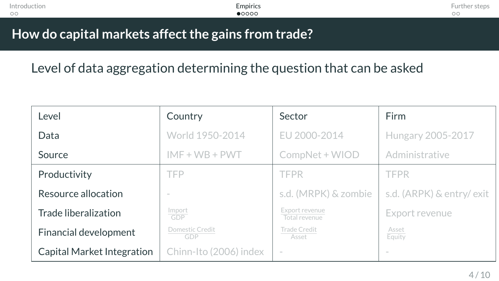| Introduction | -<br><b>Empirics</b> | ur |
|--------------|----------------------|----|
| $\circ$      | •0000                | ОC |
|              |                      |    |

Level of data aggregation determining the question that can be asked

| Level                      | Country                | Sector                          | Firm                     |
|----------------------------|------------------------|---------------------------------|--------------------------|
| Data                       | World 1950-2014        | EU 2000-2014                    | Hungary 2005-2017        |
| Source                     | $IMF + WB + PWT$       | CompNet + WIOD                  | Administrative           |
| Productivity               | TFP                    | TFPR                            | <b>TFPR</b>              |
| Resource allocation        |                        | s.d. (MRPK) & zombie            | s.d. (ARPK) & entry/exit |
| Trade liberalization       | Import<br>GDP          | Export revenue<br>Total revenue | Export revenue           |
| Financial development      | Domestic Credit<br>GDP | Trade Credit<br>Asset           | Asset<br>Equity          |
| Capital Market Integration | Chinn-Ito (2006) index |                                 | $\sim$                   |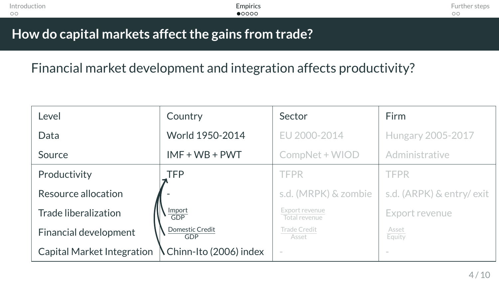| Introduction | Empirics       | Further step |
|--------------|----------------|--------------|
| $\circ$      | $\bullet$ 0000 | ОC           |
|              |                |              |

Financial market development and integration affects productivity?

| Level                      | Country                          | Sector                          | Firm                     |
|----------------------------|----------------------------------|---------------------------------|--------------------------|
| Data                       | World 1950-2014                  | EU 2000-2014                    | Hungary 2005-2017        |
| Source                     | $IMF + WB + PWT$                 | CompNet + WIOD                  | Administrative           |
| Productivity               | <b>TFP</b>                       | TFPR                            | <b>TFPR</b>              |
| Resource allocation        |                                  | s.d. (MRPK) & zombie            | s.d. (ARPK) & entry/exit |
| Trade liberalization       | $rac{\text{Import}}{\text{GDP}}$ | Export revenue<br>Total revenue | Export revenue           |
| Financial development      | <b>Domestic Credit</b><br>GDP    | Trade Credit<br>Asset           | Asset<br>Equity          |
| Capital Market Integration | N Chinn-Ito (2006) index         |                                 |                          |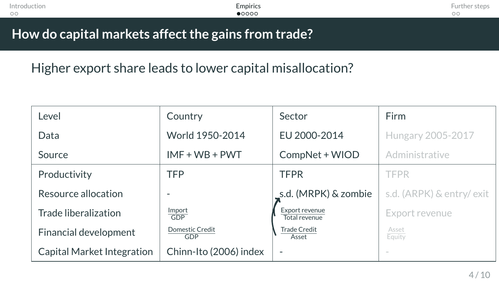| Introduction | Empirics       | Further steps |
|--------------|----------------|---------------|
| $\circ$      | $\bullet$ 0000 | OС            |
|              |                |               |

Higher export share leads to lower capital misallocation?

| Level                      | Country                       | Sector                          | Firm                     |
|----------------------------|-------------------------------|---------------------------------|--------------------------|
| Data                       | World 1950-2014               | EU 2000-2014                    | Hungary 2005-2017        |
| Source                     | $IMF + WB + PWT$              | CompNet + WIOD                  | Administrative           |
| Productivity               | <b>TFP</b>                    | <b>TFPR</b>                     | TFPR                     |
| Resource allocation        |                               | _s.d. (MRPK) & zombie           | s.d. (ARPK) & entry/exit |
| Trade liberalization       | Import<br><b>GDP</b>          | Export revenue<br>Total revenue | Export revenue           |
| Financial development      | <b>Domestic Credit</b><br>GDP | <b>Trade Credit</b><br>Asset    | Asset<br>Equity          |
| Capital Market Integration | Chinn-Ito (2006) index        | ٠                               | $\sim$                   |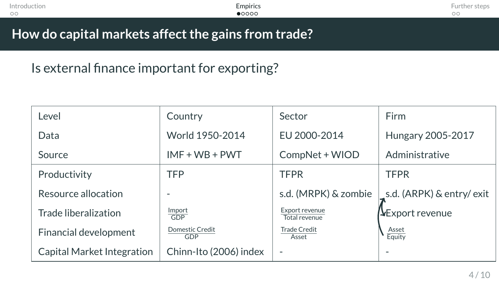| Introduction | Empirics | u  |
|--------------|----------|----|
| $\circ$      | •0000    | OС |
|              |          |    |

Is external finance important for exporting?

| Level                      | Country                       | Sector                          | <b>Firm</b>               |
|----------------------------|-------------------------------|---------------------------------|---------------------------|
| Data                       | World 1950-2014               | EU 2000-2014                    | Hungary 2005-2017         |
| Source                     | $IMF + WB + PWT$              | CompNet + WIOD                  | Administrative            |
| Productivity               | <b>TFP</b>                    | <b>TFPR</b>                     | <b>TFPR</b>               |
| Resource allocation        |                               | s.d. (MRPK) & zombie            | s.d. (ARPK) & entry/exit_ |
| Trade liberalization       | Import<br>GDP                 | Export revenue<br>Total revenue | <b>V</b> Export revenue   |
| Financial development      | <b>Domestic Credit</b><br>GDP | <b>Trade Credit</b><br>Asset    | Asset<br>Equity           |
| Capital Market Integration | Chinn-Ito (2006) index        | $\overline{\phantom{a}}$        |                           |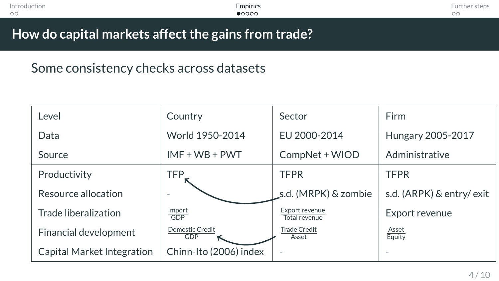| Introduction | Empirics | Further steps |
|--------------|----------|---------------|
| $\circ$      | •0000    | $\circ$       |
|              |          |               |

## Some consistency checks across datasets

| Level                      | Country                | Sector                          | Firm                     |
|----------------------------|------------------------|---------------------------------|--------------------------|
| Data                       | World 1950-2014        | EU 2000-2014                    | Hungary 2005-2017        |
| Source                     | $IMF + WB + PWT$       | CompNet + WIOD                  | Administrative           |
| Productivity               | TFP_                   | <b>TFPR</b>                     | <b>TFPR</b>              |
| Resource allocation        |                        | s.d. (MRPK) & zombie            | s.d. (ARPK) & entry/exit |
| Trade liberalization       | Import<br><b>GDP</b>   | Export revenue<br>Total revenue | Export revenue           |
| Financial development      | Domestic Credit<br>GDP | <b>Trade Credit</b><br>Asset    | Asset<br>Equity          |
| Capital Market Integration | Chinn-Ito (2006) index | $\overline{\phantom{a}}$        |                          |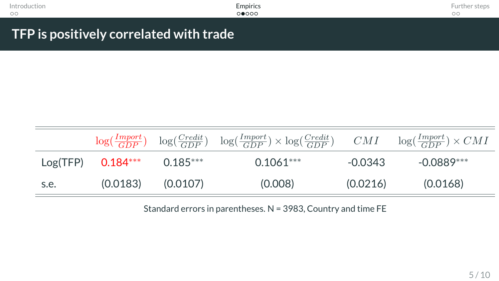| Introduction                                                          | Empirics | Further steps |
|-----------------------------------------------------------------------|----------|---------------|
| $\circ$                                                               | 00000    | $\circ$       |
|                                                                       |          |               |
| $\blacksquare$ TFP is positively correlated with trade $\blacksquare$ |          |               |

|      |                              |          | $\log(\frac{Import}{GDP}) - \log(\frac{Credit}{GDP}) - \log(\frac{Import}{GDP}) \times \log(\frac{Credit}{GDP}) - CMI - \log(\frac{Import}{GDP}) \times CMI$ |          |            |
|------|------------------------------|----------|--------------------------------------------------------------------------------------------------------------------------------------------------------------|----------|------------|
|      | $Log(TFP)$ 0.184*** 0.185*** |          | $0.1061***$                                                                                                                                                  | -0.0343  | -0.0889*** |
| s.e. | (0.0183)                     | (0.0107) | (0.008)                                                                                                                                                      | (0.0216) | (0.0168)   |

Standard errors in parentheses. N = 3983, Country and time FE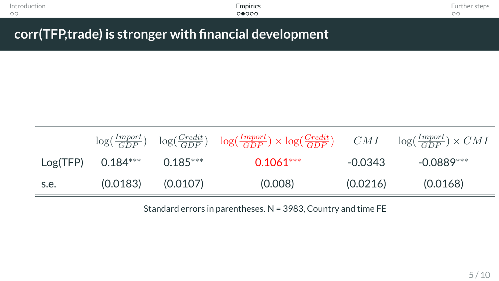| Introduction | Empirics                                                | Further steps |
|--------------|---------------------------------------------------------|---------------|
| $\circ$      | 00000                                                   |               |
|              |                                                         |               |
|              |                                                         |               |
|              | corr(TFP, trade) is stronger with financial development |               |

|      |                              |                       | $\log(\frac{Import}{GDP}) \quad \log(\frac{Credit}{GDP}) \quad \log(\frac{Import}{GDP}) \times \log(\frac{Credit}{GDP}) \qquad CMI \qquad \log(\frac{Import}{GDP}) \times CMI$ |          |            |
|------|------------------------------|-----------------------|--------------------------------------------------------------------------------------------------------------------------------------------------------------------------------|----------|------------|
|      | $Log(TFP)$ 0.184*** 0.185*** |                       | $0.1061***$                                                                                                                                                                    | -0.0343  | -0.0889*** |
| s.e. |                              | $(0.0183)$ $(0.0107)$ | (0.008)                                                                                                                                                                        | (0.0216) | (0.0168)   |

Standard errors in parentheses. N = 3983, Country and time FE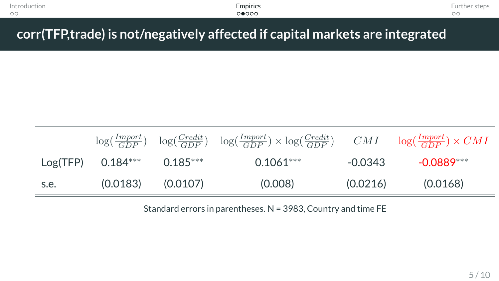| Introduction | -<br>Empirics | $\sim$<br>-srem<br><b>TT16</b> |
|--------------|---------------|--------------------------------|
| $\circ$      | ⊙●೦೦೦         | $\sim$ .<br>uu                 |
|              |               |                                |

# **corr(TFP,trade) is not/negatively affected if capital markets are integrated**

|      |                              |                       | $\log(\frac{Import}{GDP}) - \log(\frac{Credit}{GDP}) - \log(\frac{Import}{GDP}) \times \log(\frac{Credit}{GDP}) - CMI - \log(\frac{Import}{GDP}) \times CMI$ |          |            |
|------|------------------------------|-----------------------|--------------------------------------------------------------------------------------------------------------------------------------------------------------|----------|------------|
|      | $Log(TFP)$ 0.184*** 0.185*** |                       | $0.1061***$                                                                                                                                                  | -0.0343  | -0 0889*** |
| s.e. |                              | $(0.0183)$ $(0.0107)$ | (0.008)                                                                                                                                                      | (0.0216) | (0.0168)   |

Standard errors in parentheses. N = 3983, Country and time FE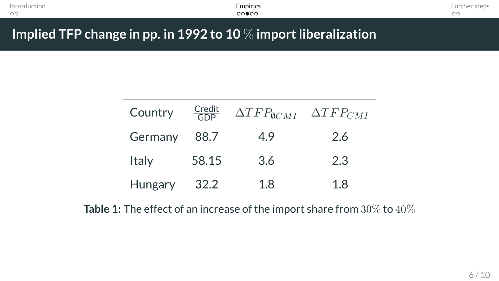| Introduction | $\overline{\phantom{a}}$<br><b>Empirics</b> | $\overline{\phantom{a}}$<br>Further<br>steb. |
|--------------|---------------------------------------------|----------------------------------------------|
| $\circ$      | ററ≘ററ                                       | $\sim$ $\cdot$<br>uu                         |
|              |                                             |                                              |

**Implied TFP change in pp. in 1992 to 10** % **import liberalization**

| Country        | $\frac{Credit}{GDP}$ | $\Delta TFP_{\emptyset CMI}$ | $\Delta TFP_{CMI}$ |
|----------------|----------------------|------------------------------|--------------------|
| Germany        | 88.7                 | 4.9                          | 2.6                |
| Italy          | 58.15                | 3.6                          | 2.3                |
| <b>Hungary</b> | -32.2                | 1 R                          | 18                 |

**Table 1:** The effect of an increase of the import share from 30% to 40%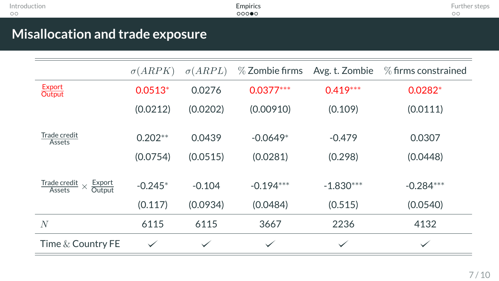| Introduction                     | Empirics | Further steps |
|----------------------------------|----------|---------------|
| $\circ$                          | 00000    | $\circ$       |
| Misallocation and trade exposure |          |               |

|                                                        | $\sigma(ARPK)$ | $\sigma(ARPL)$ | $\%$ Zombie firms | Avg. t. Zombie | $%$ firms constrained |
|--------------------------------------------------------|----------------|----------------|-------------------|----------------|-----------------------|
| Export<br><b>Output</b>                                | $0.0513*$      | 0.0276         | $0.0377***$       | $0.419***$     | $0.0282*$             |
|                                                        | (0.0212)       | (0.0202)       | (0.00910)         | (0.109)        | (0.0111)              |
| Trade credit<br>Assets                                 | $0.202**$      | 0.0439         | $-0.0649*$        | $-0.479$       | 0.0307                |
|                                                        | (0.0754)       | (0.0515)       | (0.0281)          | (0.298)        | (0.0448)              |
| Export<br>Trade credit<br>$\times$<br>Output<br>Assets | $-0.245*$      | $-0.104$       | $-0.194***$       | $-1.830***$    | $-0.284***$           |
|                                                        | (0.117)        | (0.0934)       | (0.0484)          | (0.515)        | (0.0540)              |
| N                                                      | 6115           | 6115           | 3667              | 2236           | 4132                  |
| Time $&$ Country FE                                    | $\checkmark$   | $\checkmark$   | $\checkmark$      | $\checkmark$   | ✓                     |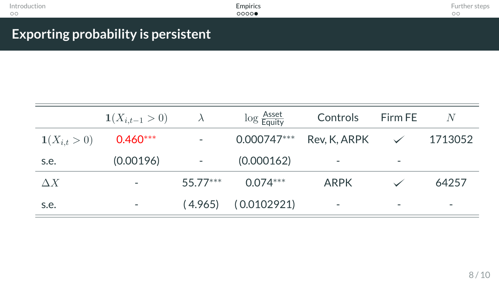| Introduction           | Empirics | rurther f<br>steps : |
|------------------------|----------|----------------------|
| $\circ$                | 0000     | $\circ$              |
|                        |          |                      |
| <b>Service Service</b> |          |                      |

## **Exporting probability is persistent**

|                  | $1(X_{i,t-1} > 0)$ | $\lambda$  | $\log \frac{ {\rm Asset} }{ {\rm Equity} }$ | Controls                 | Firm FE      | N       |
|------------------|--------------------|------------|---------------------------------------------|--------------------------|--------------|---------|
| $1(X_{i,t} > 0)$ | $0.460***$         |            | $0.000747***$                               | Rev, K, ARPK             | $\checkmark$ | 1713052 |
| s.e.             | (0.00196)          |            | (0.000162)                                  | $\overline{\phantom{m}}$ | ۰            |         |
| $\Delta X$       |                    | $55.77***$ | $0.074***$                                  | <b>ARPK</b>              |              | 64257   |
| s.e.             |                    | (4.965)    | (0.0102921)                                 | $\overline{\phantom{a}}$ | -            |         |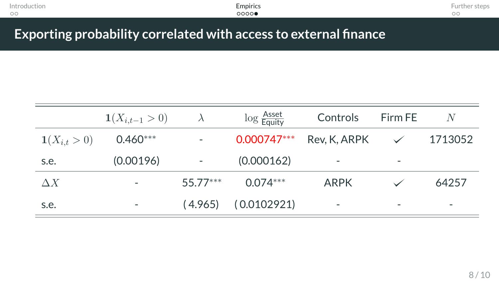| Introduction | -<br><b>Empirics</b> | $\sim$<br><b>Further steps</b> |
|--------------|----------------------|--------------------------------|
| $\circ$      | 00000                | $\sim$ $\cdot$<br>◡            |
|              |                      |                                |

**Exporting probability correlated with access to external finance**

|                  | $\mathbf{1}(X_{i,t-1} > 0)$ | $\lambda$  | $\log \frac{H}}{Equity}$ | Controls                 | Firm FE      | N       |
|------------------|-----------------------------|------------|--------------------------|--------------------------|--------------|---------|
| $1(X_{i,t} > 0)$ | $0.460***$                  |            | 0.000747***              | Rev, K, ARPK             | $\checkmark$ | 1713052 |
| s.e.             | (0.00196)                   |            | (0.000162)               |                          | ۰            |         |
| $\Delta X$       |                             | $55.77***$ | $0.074***$               | ARPK                     |              | 64257   |
| s.e.             | ۰                           | (4.965)    | (0.0102921)              | $\overline{\phantom{a}}$ | -            | ٠       |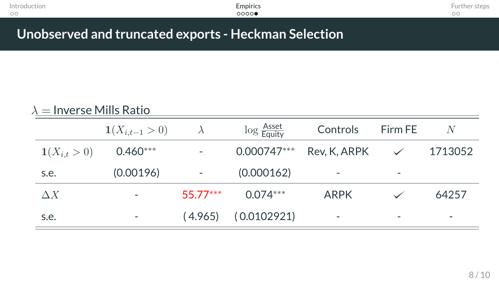| Introduction | Empirics | <b>STATE</b>         |
|--------------|----------|----------------------|
| $\circ$      | 00000    | $\sim$ $\cdot$<br>uu |
|              |          |                      |

## **Unobserved and truncated exports - Heckman Selection**

| $\lambda =$ Inverse Mills Ratio |                             |           |                                             |              |         |         |
|---------------------------------|-----------------------------|-----------|---------------------------------------------|--------------|---------|---------|
|                                 | $\mathbf{1}(X_{i,t-1} > 0)$ | $\lambda$ | $\log \frac{ {\rm Asset} }{ {\rm Equity} }$ | Controls     | Firm FE | N       |
| $1(X_{i,t} > 0)$                | $0.460***$                  | -         | $0.000747***$                               | Rev, K, ARPK |         | 1713052 |
| s.e.                            | (0.00196)                   |           | (0.000162)                                  |              |         |         |
| $\Delta X$                      |                             | 55 77***  | $0.074***$                                  | ARPK         |         | 64257   |
| s.e.                            | ٠                           | (4.965)   | (0.0102921)                                 | -            | ۰       | -       |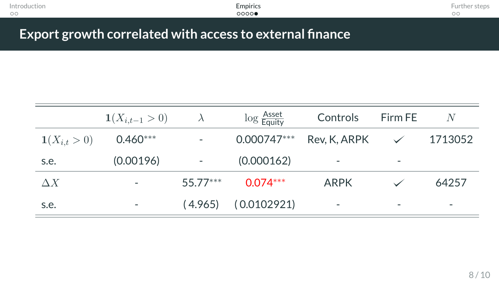| Introduction<br>$\circ$                  |                                                                                   |           | <b>Empirics</b><br>0000  |                                                     |         | Further steps<br>$\circ$ |
|------------------------------------------|-----------------------------------------------------------------------------------|-----------|--------------------------|-----------------------------------------------------|---------|--------------------------|
|                                          | Export growth correlated with access to external finance                          |           |                          |                                                     |         |                          |
|                                          |                                                                                   |           |                          |                                                     |         |                          |
|                                          |                                                                                   |           |                          |                                                     |         |                          |
|                                          | $1(X_{i,t-1} > 0)$                                                                | $\lambda$ | $\log \frac{H}}{Equity}$ | Controls                                            | Firm FE | N                        |
| $\mathbf{1}(\mathbf{V} \sim \mathbf{0})$ | $\bigcap$ $\bigwedge$ $\bigwedge$ $\bigwedge$ $\bigwedge$ $\bigwedge$ $\bigwedge$ |           | $0.000747***$            | $D_{\alpha\lambda}$ , $V$ $\wedge$ $D_{\alpha}$ $V$ |         | 1710050                  |

| $\mathbf{1}(X_{i,t} > 0)$ | $0.460***$               |             |                         | 0.000747*** Rev, K, ARPK |                          | $\checkmark$ 1713052 |
|---------------------------|--------------------------|-------------|-------------------------|--------------------------|--------------------------|----------------------|
| s.e.                      | (0.00196)                | $\sim$ $ -$ | (0.000162)              | $\overline{\phantom{a}}$ | ۰                        |                      |
| $\Delta X$                | $\overline{\phantom{a}}$ | 55.77***    | $0.074***$              | ARPK                     |                          | 64257                |
| s.e.                      |                          |             | $(4.965)$ $(0.0102921)$ | $\overline{\phantom{a}}$ | $\overline{\phantom{a}}$ |                      |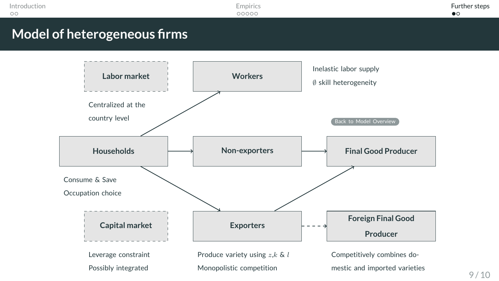<span id="page-18-0"></span>